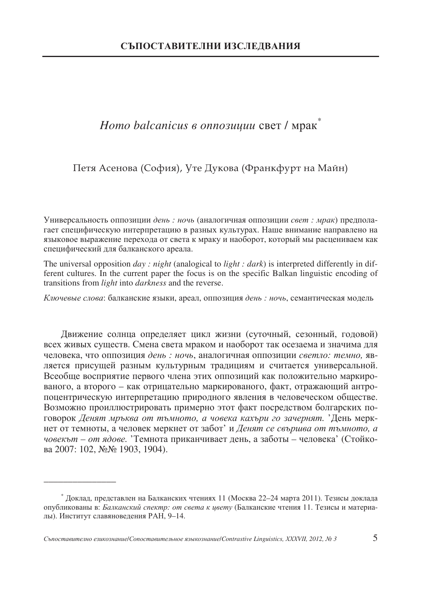# *Homo balcanicus в оппозиции с*вет / мрак $^*$

Петя Асенова (София), Уте Дукова (Франкфурт на Майн)

Универсальность оппозиции день: ночь (аналогичная оппозиции свет: мрак) предполагает специфическую интерпретацию в разных культурах. Наше внимание направлено на языковое выражение перехода от света к мраку и наоборот, который мы расцениваем как специфический для балканского ареала.

The universal opposition *day : night* (analogical to *light : dark*) is interpreted differently in different cultures. In the current paper the focus is on the specific Balkan linguistic encoding of transitions from *light* into *darkness* and the reverse.

Ключевые слова: балканские языки, ареал, оппозиция день : ночь, семантическая модель

Движение солнца определяет цикл жизни (суточный, сезонный, годовой) всех живых существ. Смена света мраком и наоборот так осезаема и значима для человека, что оппозиция день: ночь, аналогичная оппозиции светло: темно, является присущей разным культурным традициям и считается универсальной. Всеобще восприятие первого члена этих оппозиций как положительно маркированого, а второго - как отрицательно маркированого, факт, отражающий антропоцентрическую интерпретацию природного явления в человеческом обществе. Возможно проиллюстрировать примерно этот факт посредством болгарских поговорок *Денят мръква от тъмното, а човека кахъри го зачернят. '*День меркнет от темноты, а человек меркнет от забот' и *Денят се свършва от тъмното, а* човекът – от ядове. 'Темнота приканчивает день, а заботы – человека' (Стойкова 2007: 102, №№ 1903, 1904).

\_\_\_\_\_\_\_\_\_\_\_\_\_\_\_

 $^*$  Доклад, представлен на Балканских чтениях 11 (Москва 22–24 марта 2011). Тезисы доклада опубликованы в: *Балканский спектр: от света к цвету* (Балканские чтения 11. Тезисы и материалы). Институт славяноведения РАН, 9-14.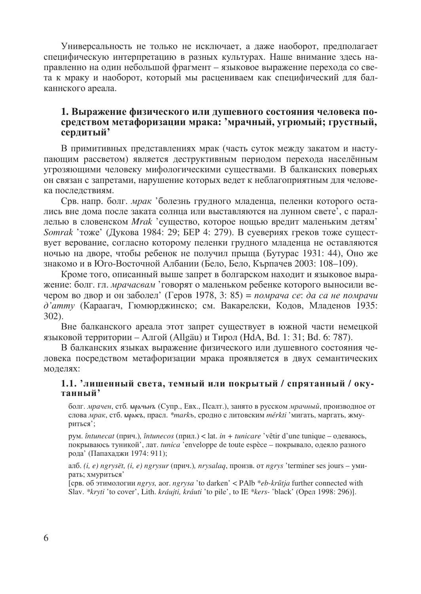Универсальность не только не исключает, а даже наоборот, предполагает специфическую интерпретацию в разных культурах. Наше внимание здесь направленно на один небольшой фрагмент - языковое выражение перехода со света к мраку и наоборот, который мы расцениваем как специфический для балканнского ареала.

# 1. Выражение физического или душевного состояния человека посредством метафоризации мрака: 'мрачный, угрюмый; грустный, сердитый'

В примитивных представлениях мрак (часть суток между закатом и наступающим рассветом) является деструктивным периодом перехода населённым угрозяющими человеку мифологическими существами. В балканских поверьях он связан с запретами, нарушение которых ведет к неблагоприятным для человека последствиям.

Срв. напр. болг. мрак 'болезнь грудного младенца, пеленки которого остались вне дома после заката солнца или выставляются на лунном свете', с параллелью в словенском Mrak 'существо, которое нощью вредит маленьким детям' *Somrak* 'тоже' (Дукова 1984: 29; БЕР 4: 279). В суевериях греков тоже существует верование, согласно которому пеленки грудного младенца не оставляются ночью на дворе, чтобы ребенок не получил прыща (Бутурас 1931: 44), Оно же знакомо и в Юго-Восточной Албании (Бело, Бело, Кърпачев 2003: 108-109).

Кроме того, описанный выше запрет в болгарском находит и языковое выражение: болг. гл. мрачасвам 'говорят о маленьком ребенке которого выносили вечером во двор и он заболел' (Геров 1978, 3: 85) = помрача се: да са не помрачи д'атту (Караагач, Гюмюрджинско; см. Вакарелски, Кодов, Младенов 1935:  $302$ ).

Вне балканского ареала этот запрет существует в южной части немецкой языковой территории – Алгой (Allgäu) и Тирол (HdA, Bd. 1: 31; Bd. 6: 787).

В балканских языках выражение физического или душевного состояния человека посредством метафоризации мрака проявляется в двух семантических моделях:

#### 1.1. 'лишенный света, темный или покрытый / спрятанный / окутанный'

болг. мрачен, стб. мрачьиз (Супр., Евх., Псалт.), занято в русском мрачный, производное от слова мрак, стб. мракъ, прасл. \*markъ, сродно с литовским mérkti 'мигать, маргать, жмуриться';

рум. întunecat (прич.), întunecos (прил.) < lat. in + tunicare 'vêtir d'une tunique – одеваюсь, покрываюсь туникой', лат. tunica 'enveloppe de toute espèce - покрывало, одеяло разного рода' (Папахаджи 1974: 911);

алб. (*i, e)* ngrysët, (*i, e)* ngrysur (прич.), nrysalaq, произв. от ngrys 'terminer ses jours – умирать; хмуриться'

[срв. об этимологии ngrys, aor. ngrysa 'to darken' < PAlb \*eb-krūtia further connected with Slav. \*kryti 'to cover', Lith. kráujti, kráuti 'to pile', to IE \*kers- 'black' (Open 1998: 296)].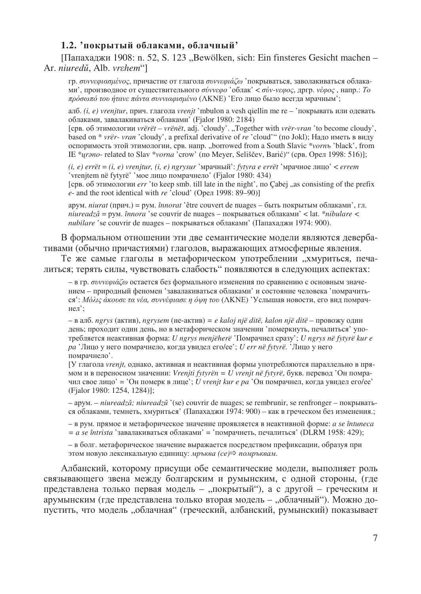# 1.2. покрытый облаками, облачный'

[Папахаджи 1908: n. 52, S. 123 "Bewölken, sich: Ein finsteres Gesicht machen – Ar. niuredu, Alb. vrchem"

гр. συννεφιασμένος, причастие от глагола συννεφιάζω 'покрываться, заволакиваться облаками', производное от существительного *σύννεφο* 'облак' < *σύν-νεφος*, дргр.  $v\epsilon\varphi$ ос, напр.: То πρόσωπό του ήτανε πάντα συννιαφισμένο (ΛΚΝΕ) ΈΓο лицо было всегда мрачным';

алб. (*i, e)* vrenjtur, прич. глагола vrenjt 'mbulon a vesh qiellin me re – 'покрывать или одевать облаками, завалакиваться облаками' (Fjalor 1980: 2184)

[срв. об этимологии vrërët – vrënët, adj. 'cloudy'. "Together with vrër-vran 'to become cloudy', based on \* vrër- vran 'cloudy', a prefixal derivative of re 'cloud'" (no Jokl); Надо иметь в виду оспоримость этой этимологии, срв. напр. "borrowed from a South Slavic \*vornъ 'black', from IE \*urano- related to Slav \*vorna 'crow' (по Меуег, Seliščev, Barić)" (срв. Орел 1998: 516)];

 $(i, e)$  errët =  $(i, e)$  vrenjtur,  $(i, e)$  ngrysur 'мрачный': fytyra e errët 'мрачное лицо' < errem 'vrenjtem në fytyrë' 'мое лицо помрачнело' (Fjalor 1980: 434)

[срв. об этимологии err 'to keep smb. till late in the night', по Cabej , as consisting of the prefix e- and the root identical with re  $\text{C}$ cloud' (Open 1998: 89–90)]

арум. *niurat* (прич.) = рум. *înnorat* 'être couvert de nuages – быть покрытым облаками', гл. *niuread* $z\check{a}$  = рум. *înnora* 'se couvrir de nuages – покрываться облаками' < lat. \**nibulare* < nubilare 'se couvrir de nuages – покрываться облаками' (Папахаджи 1974: 900).

В формальном отношении эти две семантические модели являются девербативами (обычно причастиями) глаголов, выражающих атмосферные явления.

Те же самые глаголы в метафорическом употреблении "хмуриться, печалиться; терять силы, чувствовать слабость" появляются в следующих аспектах:

- в гр. συννεφιάζω остается без формального изменения по сравнению с основным значением – природный феномен 'завалакиваться облаками' и состояние человека 'помрачить $cs'$ : Μόλις άκουσε τα νέα, συννέφιασε η όψη του (ΛΚΝΕ) 'Услышав новости, его вид помрачнел':

– в алб. ngrys (актив), ngrysem (не-актив) = e kaloj një ditë, kalon një ditë – провожу один день; проходит один день, но в метафорическом значении 'померкнуть, печалиться' употребляется неактивная форма: U ngrys menjëherë 'Помрачнел сразу'; U ngrys në fytyrë kur e ра 'Лицо у него помрачнело, когда увидел ero/ee'; *U err në fytyrë*. 'Лицо у него помрачнело'.

[У глагола vrenjt, однако, активная и неактивная формы употребляются параллельно в прямом и в переносном значении: Vrenjti fytyrën = U vrenjt në fytyrë, букв. перевод 'Он помрачил свое лицо' = 'Он померк в лице'; *U vrenjt kur е ра* 'Он помрачнел, когда увидел его/ее' (Fjalor 1980: 1254, 1284)];

- арум. - niureadză; niureadză '(se) couvrir de nuages; se rembrunir, se renfronger - покрываться облаками, темнеть, хмуриться' (Папахаджи 1974: 900) - как в греческом без изменения.;

- в рум. прямое и метафорическое значение проявляется в неактивной форме: а se întuneca  $=$  *a se întrista* 'завалакиваться облаками' = 'помрачнеть, печалиться' (DLRM 1958: 429);

- в болг. метафорическое значение выражается посредством префиксации, образуя при этом новую лексикальную единицу: мръква (се)⇒ помръквам.

Албанский, которому присущи обе семантические модели, выполняет роль связывающего звена между болгарским и румынским, с одной стороны, (где представлена только первая модель - "покрытый"), а с другой - греческим и арумынским (где представлена только вторая модель – "облачный"). Можно допустить, что модель "облачная" (греческий, албанский, румынский) показывает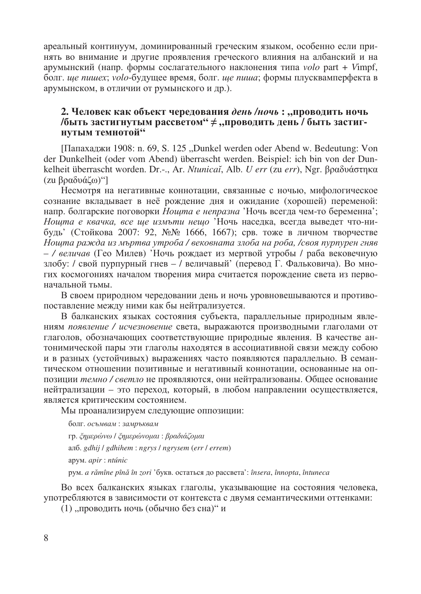ареальный континуум, доминированный греческим языком, особенно если принять во внимание и другие проявления греческого влияния на албанский и на арумынский (напр. формы сослагательного наклонения типа volo part + Vimpf, болг. ше пишех; volo-будущее время, болг. ше пиша; формы плусквамперфекта в арумынском, в отличии от румынского и др.).

# 2. Человек как объект чередования день /ночь: "проводить ночь /быть застигнутым рассветом"  $\neq$  "проводить день / быть застигнутым темнотой"

[Папахаджи 1908: n. 69, S. 125 "Dunkel werden oder Abend w. Bedeutung: Von der Dunkelheit (oder vom Abend) überrascht werden. Beispiel: ich bin von der Dunkelheit überrascht worden. Dr.-., Ar. *Ntunicaĭ*, Alb. *U err* (zu err), Ngr. βραδυάστηκα (zu βραδυάζω)"]

Несмотря на негативные коннотации, связанные с ночью, мифологическое сознание вкладывает в неё рождение дня и ожидание (хорошей) переменой: напр. болгарские поговорки *Ношта е непразна* 'Ночь всегда чем-то беременна'; Нощта е квачка, все ще измъти нещо Ночь наседка, всегда выведет что-нибудь' (Стойкова 2007: 92, №№ 1666, 1667); срв. тоже в личном творчестве Ношта ражда из мъртва утроба / вековната злоба на роба, /своя пурпурен гняв - / величав (Гео Милев) 'Ночь рождает из мертвой утробы / раба вековечную злобу: / свой пурпурный гнев - / величавый' (перевод Г. Фальковича). Во многих космогониях началом творения мира считается порождение света из первоначальной тьмы.

В своем природном чередовании день и ночь уровновешываются и противопоставление между ними как бы нейтрализуется.

В балканских языках состояния субъекта, параллельные природным явлениям появление / исчезновение света, выражаются производными глаголами от глаголов, обозначающих соответствующие природные явления. В качестве антонимической пары эти глаголы находятся в ассоциативной связи между собою и в разных (устойчивых) выражениях часто появляются параллельно. В семантическом отношении позитивные и негативный коннотации, основанные на оппозиции темно / светло не проявляются, они нейтрализованы. Общее основание нейтрализации - это переход, который, в любом направлении осуществляется, является критическим состоянием.

Мы проанализируем следующие оппозиции:

болг. осъмвам: замръквам гр. ζημερώνω / ζημερώνομαι: βραδιάζομαι алб. gdhij / gdhihem: ngrys / ngrysem (err / errem) apym. apir: ntúnic рум. a rămîne pînă în zori 'букв. остаться до рассвета': însera, înnopta, întuneca

Во всех балканских языках глаголы, указывающие на состояния человека, употребляются в зависимости от контекста с двумя семантическими оттенками:

(1) "проводить ночь (обычно без сна)" и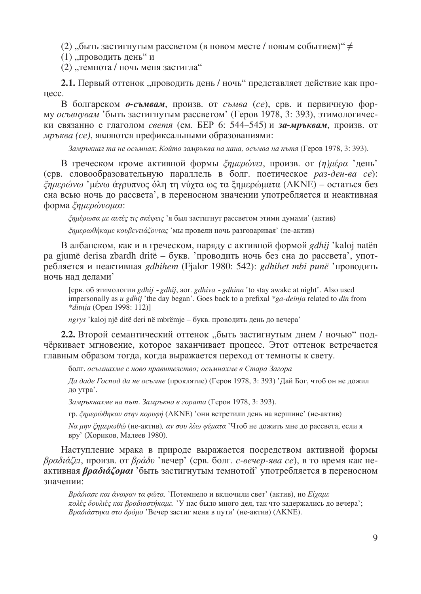(2) "быть застигнутым рассветом (в новом месте / новым событием)" $\neq$ 

(1) "проводить день" и

(2) "темнота / ночь меня застигла"

2.1. Первый оттенок "проводить день / ночь" представляет действие как про-TIecc.

В болгарском *о-съмвам*, произв. от съмва (се), срв. и первичную форму осъвнувам 'быть застигнутым рассветом' (Геров 1978, 3: 393), этимологически связанно с глаголом *светя* (см. БЕР 6: 544–545) и за-мръквам, произв. от *мръква (се)*, являются префиксальными образованиями:

Замръкнал та не осъмнал; Който замръква на хана, осъмва на пътя (Геров 1978, 3: 393).

В греческом кроме активной формы *ξημερώνει*, произв. от (η)μέρα 'день' (срв. словообразовательную параллель в болг. поетическое раз-ден-ва се):  $\zeta$ ημερώνω 'μένω άγρυπνος όλη τη νύγτα ως τα ξημερώματα (ΛΚΝΕ) – ος τατικα без сна всью ночь до рассвета', в переносном значении употребляется и неактивная  $\phi$ орма  $\zeta \eta \mu \varepsilon \rho \omega \nu \omega$ иг:

 $\zeta$ пи $\zeta$ рога не артес ти окемец $\zeta$ 'я был застигнут рассветом этими думами' (актив)

 $\zeta$ пиєрωθήκαμε κουβεντιάζοντας 'мы провели ночь разговаривая' (не-актив)

B албанском, как и в греческом, нарялу с активной формой *edhii* 'kaloj natën pa gjumë derisa zbardh dritë – букв. 'проводить ночь без сна до рассвета', употребляется и неактивная *gdhihem* (Fialor 1980: 542): *gdhihet mbi punë* 'проводить ночь нал лелами'

[срв. об этимологии *gdhij ~ gdhîj*, aor. *gdhiva ~ gdhina* 'to stay awake at night'. Also used impersonally as *u gdhij* 'the day began'. Goes back to a prefixal *\*ga-deinja* related to *din* from *\*ditnia* (Орел 1998: 112)]

ngrys 'kaloj një ditë deri në mbrëmje – букв. проводить день до вечера'

**2.2.** Второй семантический оттенок "быть застигнутым днем / ночью" подчёркивает мгновение, которое заканчивает процесс. Этот оттенок встречается главным образом тогда, когда выражается переход от темноты к свету.

болг. *осъмнахме с ново правителство; осъмнахме в Стара Загора* 

Да даде Господ да не осъмне (проклятие) (Геров 1978, 3: 393) 'Дай Бог, чтоб он не дожил до утра'.

Замръкнахме на път. Замръкна в гората (Геров 1978, 3: 393).

гр. ζημερώθηκαν στην κορυφή (ΛΚΝΕ) 'они встретили день на вершине' (не-актив)

 $N\alpha$  μην ζημερωθώ (не-актив), αν σου λέω ψέματα 'Чтоб не дожить мне до рассвета, если я вру' (Хориков, Малеев 1980).

Наступление мрака в природе выражается посредством активной формы βραδιάζει, произв. от βράδυ 'вечер' (срв. болг. *с-вечер-ява се*), в то время как неактивная  $\beta \rho a \delta t \dot{\alpha} \zeta \rho \mu a t$  обыть застигнутым темнотой' употребляется в переносном значении:

Bράδιασε και άναψαν τα φώτα. 'Потемнело и включили свет' (актив), но *Еίχαμε* πολές δουλιές και βραδιαστήκαμε. 'У нас было много дел, так что задержались до вечера'; Вραδιάστηκα στο δρόμο 'Вечер застиг меня в пути' (не-актив) (ΛΚΝΕ).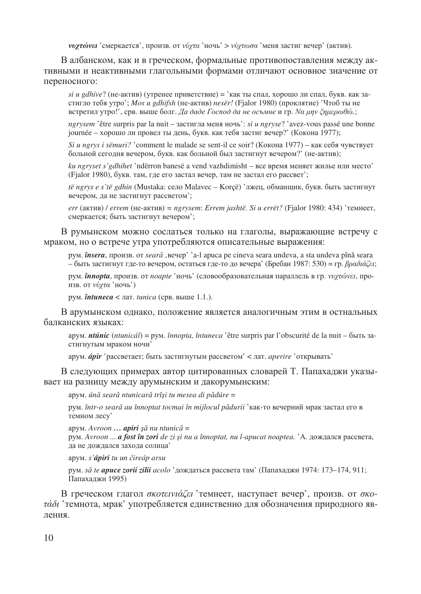$\nu \nu \gamma \tau \omega \nu \epsilon$ ' смеркается', произв. от  $\nu \nu \gamma \tau \alpha$ 'ночь' >  $\nu \nu \gamma \tau \omega \sigma \alpha$ ' меня застиг вечер' (актив).

В албанском, как и в греческом, формальные противопоставления между активными и неактивными глагольными формами отличают основное значение от переносного:

 $si$  *u gdhive*? (не-актив) (утренее приветствие) = 'как ты спал, хорошо ли спал, букв. как застигло тебя утро'; *Mos u gdhifsh* (не-актив) nesër! (Fjalor 1980) (проклятие) 'Чтоб ты не встретил утро!', срв. выше болг. Да даде Господ да не осъмне и гр. *Na µnv ζημερωθώ*.;

*ngrysem* 'être surpris par la nuit – застигла меня ночь': *si u ngryse*? 'avez-vous passé une bonne journée – хорошо ли провел ты день, букв. как тебя застиг вечер?' (Кокона 1977);

*Si u ngrys i sëmuri?* 'comment le malade se sent-il се soir? (Кокона 1977) – как себя чувствует больной сегодня вечером, букв. как больной был застигнут вечером?' (не-актив);

ku ngryset s'gdhihet 'ndërron banesë a vend vazhdimisht – все время меняет жилье или место' (Fjalor 1980), букв. там, где его застал вечер, там не застал его рассвет';

*të ngrys e s'të gdhin* (Mustaka: село Malavec – Korсё) 'лжец, обманщик, букв. быть застигнут вечером, да не застигнут рассветом';

*err* ( $\alpha$ <sub>134</sub>) / *errem* ( $\alpha$ <sub>144</sub>) = *ngrysem*: *Errem jashtë. Si u errët*? (Fjalor 1980: 434) '*remheer*, смеркается; быть застигнут вечером';

В румынском можно сослаться только на глаголы, выражающие встречу с мраком, но о встрече утра употребляются описательные выражения:

pym. *însera*, *npousb. or seară*, Beyep' 'a-l apuca pe cineva seara undeva, a sta undeva pînă seara – быть застигнут где-то вечером, остаться где-то до вечера' (Бребан 1987: 530) = гр.  $\beta \rho \alpha \delta t \alpha \zeta \epsilon t$ ;

рум. **înnopta**, произв. от *noapte* 'ночь' (словообразовательная параллель в гр. *νυγτώνει*, произв. от  $v\acute{\nu}\gamma\tau\alpha$  'ночь')

рум.  $\hat{\boldsymbol{n}}$ tuneca < лат. tunica (срв. выше 1.1.).

В арумынском однако, положение является аналогичным этим в остнальных балканских языках:

apym. *ntúnic* (*ntunicáĭ*) = pym. *înnopta, întuneca* 'être surpris par l'obscurité de la nuit – быть застигнутым мраком ночи'

арум. *ápir* 'рассветает; быть застигнутым рассветом' < лат. *aperire* 'открывать'

В следующих примерах автор цитированных словарей Т. Папахаджи указывает на разницу между арумынским и дакорумынским:

%. *ún*I *sear*I *ntunicar*I *trî*]*i tu mesea di p*I*dúre* =

рум. *într-o seară au înnoptat tocmai în mijlocul pădurii* 'как-то вечерний мрак застал его в темном лесу'

apym. Avroon ... apiri să nu ntunică =

рум. *Avroon ... a fost în zori de zi și nu a înnoptat, nu l-apucat noaptea. 'А. дождался рассвета,* да не дождался захода солнца'

%. *s'ápiri tu un* ^*ireáp arsu* 

рум. *să te apuce zorii zilii acolo* 'дождаться рассвета там' (Папахаджи 1974: 173–174, 911; Папахаджи 1995)

В греческом глагол *окотений си* темнеет, наступает вечер', произв. от *око*- $\tau \dot{\alpha} \delta i$  'темнота, мрак' употребляется единственно для обозначения природного явпения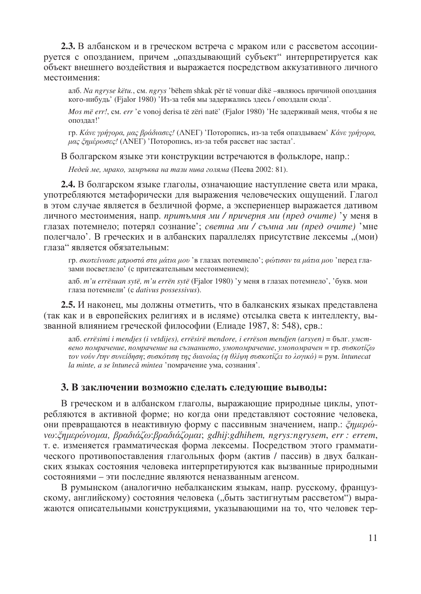2.3. В албанском и в греческом встреча с мраком или с рассветом ассоциируется с опозданием, причем "опаздывающий субъект" интерпретируется как объект внешнего воздействия и выражается посредством аккузативного личного местоимения:

алб. Na ngryse këtu., см. ngrys 'bëhem shkak për të vonuar dikë -являюсь причиной опоздания кого-нибудь' (Fjalor 1980) 'Из-за тебя мы задержались здесь / опоздали сюда'.

Mos më err!, см. err 'е vonoj derisa të zëri natë' (Fjalor 1980) 'Не задерживай меня, чтобы я не опоздал!'

гр. Κάνε γρήγορα, μας βράδιασες! (ΛΝΕΓ) 'Поторопись, из-за тебя опаздываем' Κάνε γρήγορα, μας ζημέρωσες! (ΛΝΕΓ) 'Поторопись, из-за тебя рассвет нас застал'.

В болгарском языке эти конструкции встречаются в фольклоре, напр.:

Недей ме, мрако, замръква на тази нива голяма (Пеева 2002: 81).

2.4. В болгарском языке глаголы, означающие наступление света или мрака, употребляются метафорически для выражения человеческих ощущений. Глагол в этом случае является в безличной форме, а экспериенцер выражается дативом личного местоимения, напр. притъмня ми / причерня ми (пред очите) 'у меня в глазах потемнело; потерял сознание'; светна ми / съмна ми (пред очите) 'мне полегчало'. В греческих и в албанских параллелях присутствие лексемы "(мои) глаза" является обязательным:

гр. σκοτείνιασε μπροστά στα μάτια μου 'в глазах потемнело'; φώτισαν τα μάτια μου 'перед глазами посветлело' (с притежательным местоимением);

алб.  $m'u$  errësuan sytë, m'u errën sytë (Fjalor 1980) 'у меня в глазах потемнело', 'букв. мои глаза потемнели' (c dativus possessivus).

2.5. И наконец, мы должны отметить, что в балканских языках представлена (так как и в европейских религиях и в исляме) отсылка света к интеллекту, вызванной влиянием греческой философии (Елиаде 1987, 8: 548), срв.:

ano. errësimi i mendjes (i vetdijes), errësirë mendore, i errëson mendjen (arsyen) = 6bJIT. yMCMвено помрачение, помрачение на съзнанието, умопомрачение, умопомрачен = гр. συσκοτίζω τον νούν /την συνείδηση; συσκότιση της διανοίας (η θλίψη συσκοτίζει το λογικό) = pym. întunecat la minte, а se întunecă mintea 'помрачение ума, сознания'.

### 3. В заключении возможно сделать следующие выводы:

В греческом и в албанском глаголы, выражающие природные циклы, употребляются в активной форме; но когда они представляют состояние человека, они превращаются в неактивную форму с пассивным значением, напр.: ζημερώνω:ζημερώνομαι, βραδιάζω:βραδιάζομαι; gdhij:gdhihem, ngrys:ngrysem, err : errem, т. е. изменяется грамматическая форма лексемы. Посредством этого грамматического противопоставления глагольных форм (актив / пассив) в двух балканских языках состояния человека интерпретируются как вызванные природными состояниями - эти последние являются неназванным агенсом.

В румынском (аналогично небалканским языкам, напр. русскому, французскому, английскому) состояния человека ("быть застигнутым рассветом") выражаются описательными конструкциями, указывающими на то, что человек тер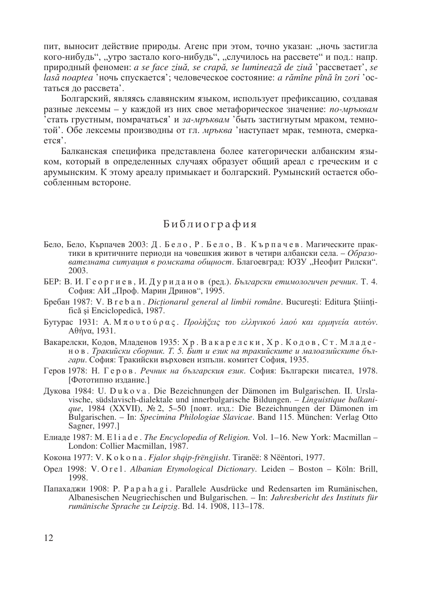пит, выносит действие природы. Агенс при этом, точно указан: "ночь застигла кого-нибудь", "утро застало кого-нибудь", "случилось на рассвете" и под.: напр. природный феномен: a se face ziuă, se crapă, se luminează de ziuă 'paccветает', se lasă noaptea 'ночь спускается': человеческое состояние: a rămîne pînă în zori 'остаться до рассвета'.

Болгарский, являясь славянским языком, использует префиксацию, создавая разные лексемы - у каждой из них свое метафорическое значение: по-мръквам стать грустным, помрачаться' и за-мръквам 'быть застигнутым мраком, темнотой'. Обе лексемы производны от гл. мръква 'наступает мрак, темнота, смерка $ercs'$ 

Балканская специфика представлена более категорически албанским языком, который в определенных случаях образует общий ареал с греческим и с арумынским. К этому ареалу примыкает и болгарский. Румынский остается обособленным встороне.

# Библиография

- Бело, Бело, Кърпачев 2003: Д. Бело, Р. Бело, В. Кърпачев. Магическите практики в критичните периоди на човешкия живот в четири албански села. - Образователната ситуация в ромската общност. Благоевград: ЮЗУ "Неофит Рилски". 2003.
- БЕР: В. И. Георгиев, И. Дуриданов (ред.). Български етимологичен речник. Т. 4. София: АИ "Проф. Марин Дринов", 1995.
- Бребан 1987: V. Breban. Dicționarul general al limbii române. București: Editura Științifică și Enciclopedică, 1987.
- Бутурас 1931: Α. Μπουτούρας. Προλήξεις του ελληνικού λαού και ερμηνεία αυτών. Αθήνα, 1931.
- Вакарелски, Кодов, Младенов 1935: Хр. Вакарелски, Хр. Кодов, Ст. Младенов. Тракийски сборник. Т. 5. Бит и език на тракийските и малоазийските българи. София: Тракийски върховен изпълн. комитет София, 1935.
- Геров 1978: Н. Геров. Речник на българския език. София: Български писател, 1978. [Фототипно издание.]
- Дукова 1984: U. Dukova. Die Bezeichnungen der Dämonen im Bulgarischen. II. Urslavische, südslavisch-dialektale und innerbulgarische Bildungen. - Linguistique balkanique, 1984 (XXVII),  $N_2$  2, 5-50 [повт. изд.: Die Bezeichnungen der Dämonen im Bulgarischen. – In: Specimina Philologiae Slavicae. Band 115. München: Verlag Otto Sagner, 1997.]
- Елиаде 1987: M. Eliade. The Encyclopedia of Religion. Vol. 1-16. New York: Macmillan -London: Collier Macmillan, 1987.
- Кокона 1977: V. K o k o n a . Fjalor shqip-frëngjisht. Tiranëë: 8 Nëëntori, 1977.
- Орел 1998: V. Orel. Albanian Etymological Dictionary. Leiden Boston Köln: Brill, 1998.
- Папахаджи 1908: P. P a p a h a g i . Parallele Ausdrücke und Redensarten im Rumänischen, Albanesischen Neugriechischen und Bulgarischen. - In: Jahresbericht des Instituts für rumänische Sprache zu Leipzig. Bd. 14. 1908, 113–178.